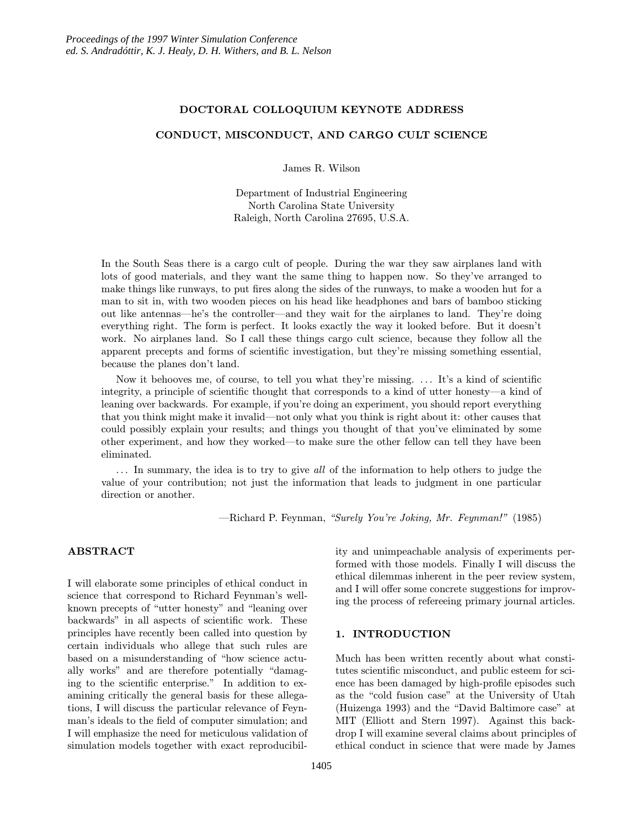## DOCTORAL COLLOQUIUM KEYNOTE ADDRESS

## CONDUCT, MISCONDUCT, AND CARGO CULT SCIENCE

James R. Wilson

Department of Industrial Engineering North Carolina State University Raleigh, North Carolina 27695, U.S.A.

In the South Seas there is a cargo cult of people. During the war they saw airplanes land with lots of good materials, and they want the same thing to happen now. So they've arranged to make things like runways, to put fires along the sides of the runways, to make a wooden hut for a man to sit in, with two wooden pieces on his head like headphones and bars of bamboo sticking out like antennas—he's the controller—and they wait for the airplanes to land. They're doing everything right. The form is perfect. It looks exactly the way it looked before. But it doesn't work. No airplanes land. So I call these things cargo cult science, because they follow all the apparent precepts and forms of scientific investigation, but they're missing something essential, because the planes don't land.

Now it behooves me, of course, to tell you what they're missing. . .. It's a kind of scientific integrity, a principle of scientific thought that corresponds to a kind of utter honesty—a kind of leaning over backwards. For example, if you're doing an experiment, you should report everything that you think might make it invalid—not only what you think is right about it: other causes that could possibly explain your results; and things you thought of that you've eliminated by some other experiment, and how they worked—to make sure the other fellow can tell they have been eliminated.

... In summary, the idea is to try to give all of the information to help others to judge the value of your contribution; not just the information that leads to judgment in one particular direction or another.

—Richard P. Feynman, "Surely You're Joking, Mr. Feynman!" (1985)

# ABSTRACT

I will elaborate some principles of ethical conduct in science that correspond to Richard Feynman's wellknown precepts of "utter honesty" and "leaning over backwards" in all aspects of scientific work. These principles have recently been called into question by certain individuals who allege that such rules are based on a misunderstanding of "how science actually works" and are therefore potentially "damaging to the scientific enterprise." In addition to examining critically the general basis for these allegations, I will discuss the particular relevance of Feynman's ideals to the field of computer simulation; and I will emphasize the need for meticulous validation of simulation models together with exact reproducibility and unimpeachable analysis of experiments performed with those models. Finally I will discuss the ethical dilemmas inherent in the peer review system, and I will offer some concrete suggestions for improving the process of refereeing primary journal articles.

### 1. INTRODUCTION

Much has been written recently about what constitutes scientific misconduct, and public esteem for science has been damaged by high-profile episodes such as the "cold fusion case" at the University of Utah (Huizenga 1993) and the "David Baltimore case" at MIT (Elliott and Stern 1997). Against this backdrop I will examine several claims about principles of ethical conduct in science that were made by James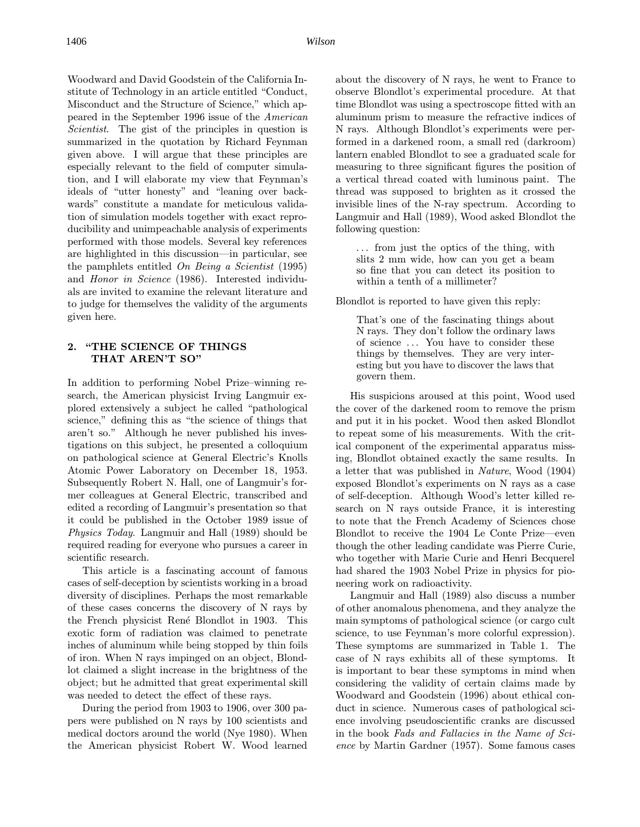Woodward and David Goodstein of the California Institute of Technology in an article entitled "Conduct, Misconduct and the Structure of Science," which appeared in the September 1996 issue of the American Scientist. The gist of the principles in question is summarized in the quotation by Richard Feynman given above. I will argue that these principles are especially relevant to the field of computer simulation, and I will elaborate my view that Feynman's ideals of "utter honesty" and "leaning over backwards" constitute a mandate for meticulous validation of simulation models together with exact reproducibility and unimpeachable analysis of experiments performed with those models. Several key references are highlighted in this discussion—in particular, see the pamphlets entitled On Being a Scientist (1995) and Honor in Science (1986). Interested individuals are invited to examine the relevant literature and to judge for themselves the validity of the arguments given here.

## 2. "THE SCIENCE OF THINGS THAT AREN'T SO"

In addition to performing Nobel Prize–winning research, the American physicist Irving Langmuir explored extensively a subject he called "pathological science," defining this as "the science of things that aren't so." Although he never published his investigations on this subject, he presented a colloquium on pathological science at General Electric's Knolls Atomic Power Laboratory on December 18, 1953. Subsequently Robert N. Hall, one of Langmuir's former colleagues at General Electric, transcribed and edited a recording of Langmuir's presentation so that it could be published in the October 1989 issue of Physics Today. Langmuir and Hall (1989) should be required reading for everyone who pursues a career in scientific research.

This article is a fascinating account of famous cases of self-deception by scientists working in a broad diversity of disciplines. Perhaps the most remarkable of these cases concerns the discovery of N rays by the French physicist René Blondlot in 1903. This exotic form of radiation was claimed to penetrate inches of aluminum while being stopped by thin foils of iron. When N rays impinged on an object, Blondlot claimed a slight increase in the brightness of the object; but he admitted that great experimental skill was needed to detect the effect of these rays.

During the period from 1903 to 1906, over 300 papers were published on N rays by 100 scientists and medical doctors around the world (Nye 1980). When the American physicist Robert W. Wood learned about the discovery of N rays, he went to France to observe Blondlot's experimental procedure. At that time Blondlot was using a spectroscope fitted with an aluminum prism to measure the refractive indices of N rays. Although Blondlot's experiments were performed in a darkened room, a small red (darkroom) lantern enabled Blondlot to see a graduated scale for measuring to three significant figures the position of a vertical thread coated with luminous paint. The thread was supposed to brighten as it crossed the invisible lines of the N-ray spectrum. According to Langmuir and Hall (1989), Wood asked Blondlot the following question:

. . . from just the optics of the thing, with slits 2 mm wide, how can you get a beam so fine that you can detect its position to within a tenth of a millimeter?

Blondlot is reported to have given this reply:

That's one of the fascinating things about N rays. They don't follow the ordinary laws of science . . . You have to consider these things by themselves. They are very interesting but you have to discover the laws that govern them.

His suspicions aroused at this point, Wood used the cover of the darkened room to remove the prism and put it in his pocket. Wood then asked Blondlot to repeat some of his measurements. With the critical component of the experimental apparatus missing, Blondlot obtained exactly the same results. In a letter that was published in Nature, Wood (1904) exposed Blondlot's experiments on N rays as a case of self-deception. Although Wood's letter killed research on N rays outside France, it is interesting to note that the French Academy of Sciences chose Blondlot to receive the 1904 Le Conte Prize—even though the other leading candidate was Pierre Curie, who together with Marie Curie and Henri Becquerel had shared the 1903 Nobel Prize in physics for pioneering work on radioactivity.

Langmuir and Hall (1989) also discuss a number of other anomalous phenomena, and they analyze the main symptoms of pathological science (or cargo cult science, to use Feynman's more colorful expression). These symptoms are summarized in Table 1. The case of N rays exhibits all of these symptoms. It is important to bear these symptoms in mind when considering the validity of certain claims made by Woodward and Goodstein (1996) about ethical conduct in science. Numerous cases of pathological science involving pseudoscientific cranks are discussed in the book Fads and Fallacies in the Name of Science by Martin Gardner (1957). Some famous cases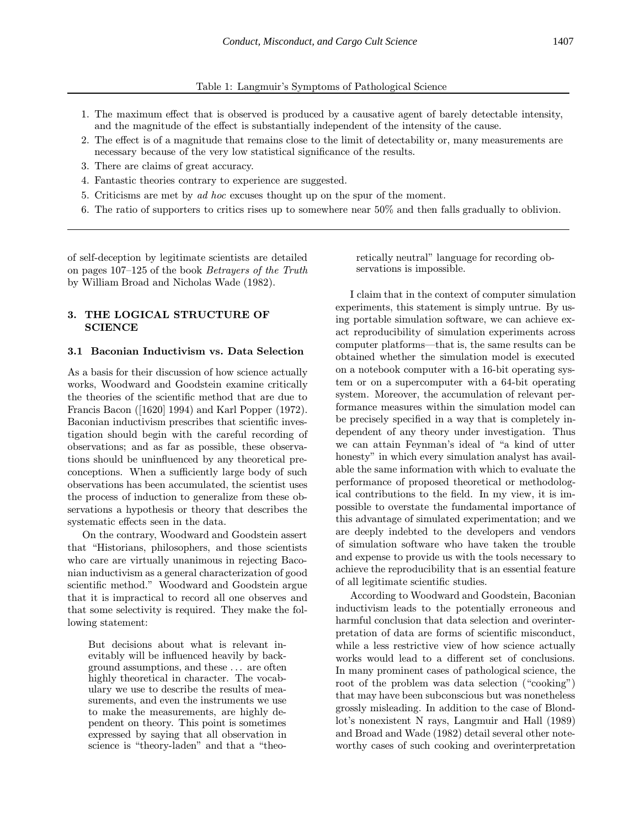Table 1: Langmuir's Symptoms of Pathological Science

- 1. The maximum effect that is observed is produced by a causative agent of barely detectable intensity, and the magnitude of the effect is substantially independent of the intensity of the cause.
- 2. The effect is of a magnitude that remains close to the limit of detectability or, many measurements are necessary because of the very low statistical significance of the results.
- 3. There are claims of great accuracy.
- 4. Fantastic theories contrary to experience are suggested.
- 5. Criticisms are met by ad hoc excuses thought up on the spur of the moment.
- 6. The ratio of supporters to critics rises up to somewhere near 50% and then falls gradually to oblivion.

of self-deception by legitimate scientists are detailed on pages 107–125 of the book Betrayers of the Truth by William Broad and Nicholas Wade (1982).

## 3. THE LOGICAL STRUCTURE OF **SCIENCE**

### 3.1 Baconian Inductivism vs. Data Selection

As a basis for their discussion of how science actually works, Woodward and Goodstein examine critically the theories of the scientific method that are due to Francis Bacon ([1620] 1994) and Karl Popper (1972). Baconian inductivism prescribes that scientific investigation should begin with the careful recording of observations; and as far as possible, these observations should be uninfluenced by any theoretical preconceptions. When a sufficiently large body of such observations has been accumulated, the scientist uses the process of induction to generalize from these observations a hypothesis or theory that describes the systematic effects seen in the data.

On the contrary, Woodward and Goodstein assert that "Historians, philosophers, and those scientists who care are virtually unanimous in rejecting Baconian inductivism as a general characterization of good scientific method." Woodward and Goodstein argue that it is impractical to record all one observes and that some selectivity is required. They make the following statement:

But decisions about what is relevant inevitably will be influenced heavily by background assumptions, and these . . . are often highly theoretical in character. The vocabulary we use to describe the results of measurements, and even the instruments we use to make the measurements, are highly dependent on theory. This point is sometimes expressed by saying that all observation in science is "theory-laden" and that a "theoretically neutral" language for recording observations is impossible.

I claim that in the context of computer simulation experiments, this statement is simply untrue. By using portable simulation software, we can achieve exact reproducibility of simulation experiments across computer platforms—that is, the same results can be obtained whether the simulation model is executed on a notebook computer with a 16-bit operating system or on a supercomputer with a 64-bit operating system. Moreover, the accumulation of relevant performance measures within the simulation model can be precisely specified in a way that is completely independent of any theory under investigation. Thus we can attain Feynman's ideal of "a kind of utter honesty" in which every simulation analyst has available the same information with which to evaluate the performance of proposed theoretical or methodological contributions to the field. In my view, it is impossible to overstate the fundamental importance of this advantage of simulated experimentation; and we are deeply indebted to the developers and vendors of simulation software who have taken the trouble and expense to provide us with the tools necessary to achieve the reproducibility that is an essential feature of all legitimate scientific studies.

According to Woodward and Goodstein, Baconian inductivism leads to the potentially erroneous and harmful conclusion that data selection and overinterpretation of data are forms of scientific misconduct, while a less restrictive view of how science actually works would lead to a different set of conclusions. In many prominent cases of pathological science, the root of the problem was data selection ("cooking") that may have been subconscious but was nonetheless grossly misleading. In addition to the case of Blondlot's nonexistent N rays, Langmuir and Hall (1989) and Broad and Wade (1982) detail several other noteworthy cases of such cooking and overinterpretation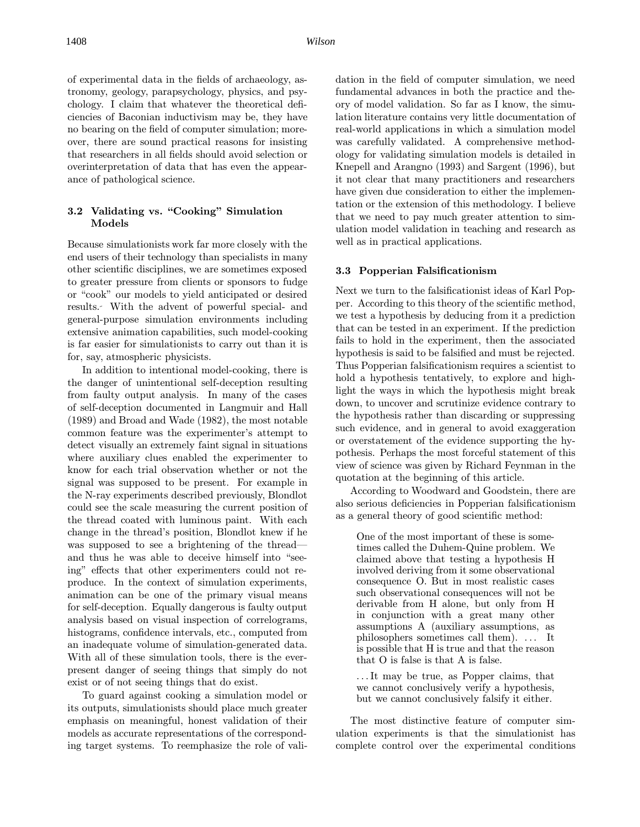of experimental data in the fields of archaeology, astronomy, geology, parapsychology, physics, and psychology. I claim that whatever the theoretical deficiencies of Baconian inductivism may be, they have no bearing on the field of computer simulation; moreover, there are sound practical reasons for insisting that researchers in all fields should avoid selection or overinterpretation of data that has even the appearance of pathological science.

# 3.2 Validating vs. "Cooking" Simulation Models

Because simulationists work far more closely with the end users of their technology than specialists in many other scientific disciplines, we are sometimes exposed to greater pressure from clients or sponsors to fudge or "cook" our models to yield anticipated or desired results. With the advent of powerful special- and general-purpose simulation environments including extensive animation capabilities, such model-cooking is far easier for simulationists to carry out than it is for, say, atmospheric physicists.

In addition to intentional model-cooking, there is the danger of unintentional self-deception resulting from faulty output analysis. In many of the cases of self-deception documented in Langmuir and Hall (1989) and Broad and Wade (1982), the most notable common feature was the experimenter's attempt to detect visually an extremely faint signal in situations where auxiliary clues enabled the experimenter to know for each trial observation whether or not the signal was supposed to be present. For example in the N-ray experiments described previously, Blondlot could see the scale measuring the current position of the thread coated with luminous paint. With each change in the thread's position, Blondlot knew if he was supposed to see a brightening of the thread and thus he was able to deceive himself into "seeing" effects that other experimenters could not reproduce. In the context of simulation experiments, animation can be one of the primary visual means for self-deception. Equally dangerous is faulty output analysis based on visual inspection of correlograms, histograms, confidence intervals, etc., computed from an inadequate volume of simulation-generated data. With all of these simulation tools, there is the everpresent danger of seeing things that simply do not exist or of not seeing things that do exist.

To guard against cooking a simulation model or its outputs, simulationists should place much greater emphasis on meaningful, honest validation of their models as accurate representations of the corresponding target systems. To reemphasize the role of validation in the field of computer simulation, we need fundamental advances in both the practice and theory of model validation. So far as I know, the simulation literature contains very little documentation of real-world applications in which a simulation model was carefully validated. A comprehensive methodology for validating simulation models is detailed in Knepell and Arangno (1993) and Sargent (1996), but it not clear that many practitioners and researchers have given due consideration to either the implementation or the extension of this methodology. I believe that we need to pay much greater attention to simulation model validation in teaching and research as well as in practical applications.

## 3.3 Popperian Falsificationism

Next we turn to the falsificationist ideas of Karl Popper. According to this theory of the scientific method, we test a hypothesis by deducing from it a prediction that can be tested in an experiment. If the prediction fails to hold in the experiment, then the associated hypothesis is said to be falsified and must be rejected. Thus Popperian falsificationism requires a scientist to hold a hypothesis tentatively, to explore and highlight the ways in which the hypothesis might break down, to uncover and scrutinize evidence contrary to the hypothesis rather than discarding or suppressing such evidence, and in general to avoid exaggeration or overstatement of the evidence supporting the hypothesis. Perhaps the most forceful statement of this view of science was given by Richard Feynman in the quotation at the beginning of this article.

According to Woodward and Goodstein, there are also serious deficiencies in Popperian falsificationism as a general theory of good scientific method:

One of the most important of these is sometimes called the Duhem-Quine problem. We claimed above that testing a hypothesis H involved deriving from it some observational consequence O. But in most realistic cases such observational consequences will not be derivable from H alone, but only from H in conjunction with a great many other assumptions A (auxiliary assumptions, as philosophers sometimes call them). . . . It is possible that H is true and that the reason that O is false is that A is false.

. . .It may be true, as Popper claims, that we cannot conclusively verify a hypothesis, but we cannot conclusively falsify it either.

The most distinctive feature of computer simulation experiments is that the simulationist has complete control over the experimental conditions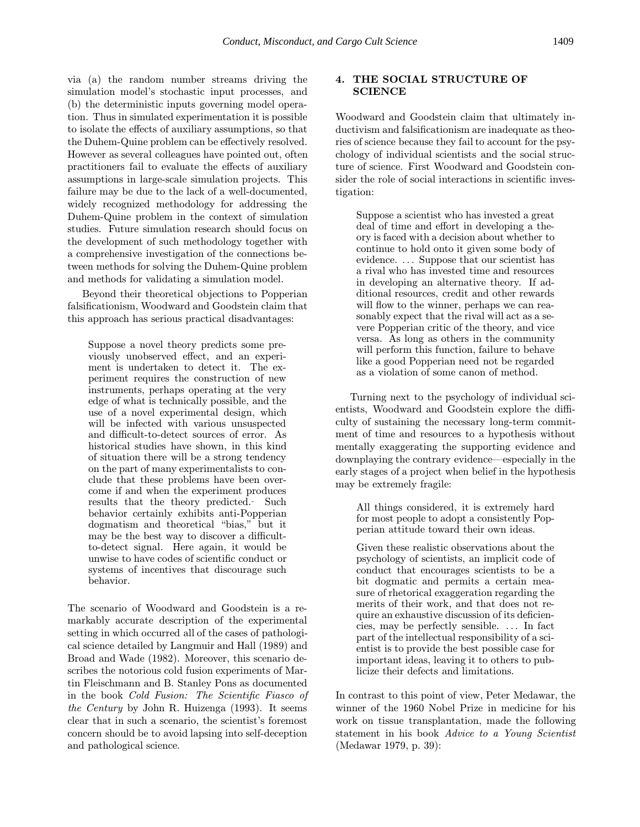via (a) the random number streams driving the simulation model's stochastic input processes, and (b) the deterministic inputs governing model operation. Thus in simulated experimentation it is possible to isolate the effects of auxiliary assumptions, so that the Duhem-Quine problem can be effectively resolved. However as several colleagues have pointed out, often practitioners fail to evaluate the effects of auxiliary assumptions in large-scale simulation projects. This failure may be due to the lack of a well-documented, widely recognized methodology for addressing the Duhem-Quine problem in the context of simulation studies. Future simulation research should focus on the development of such methodology together with a comprehensive investigation of the connections between methods for solving the Duhem-Quine problem and methods for validating a simulation model.

Beyond their theoretical objections to Popperian falsificationism, Woodward and Goodstein claim that this approach has serious practical disadvantages:

Suppose a novel theory predicts some previously unobserved effect, and an experiment is undertaken to detect it. The experiment requires the construction of new instruments, perhaps operating at the very edge of what is technically possible, and the use of a novel experimental design, which will be infected with various unsuspected and difficult-to-detect sources of error. As historical studies have shown, in this kind of situation there will be a strong tendency on the part of many experimentalists to conclude that these problems have been overcome if and when the experiment produces results that the theory predicted. Such behavior certainly exhibits anti-Popperian dogmatism and theoretical "bias," but it may be the best way to discover a difficultto-detect signal. Here again, it would be unwise to have codes of scientific conduct or systems of incentives that discourage such behavior.

The scenario of Woodward and Goodstein is a remarkably accurate description of the experimental setting in which occurred all of the cases of pathological science detailed by Langmuir and Hall (1989) and Broad and Wade (1982). Moreover, this scenario describes the notorious cold fusion experiments of Martin Fleischmann and B. Stanley Pons as documented in the book Cold Fusion: The Scientific Fiasco of the Century by John R. Huizenga (1993). It seems clear that in such a scenario, the scientist's foremost concern should be to avoid lapsing into self-deception and pathological science.

# 4. THE SOCIAL STRUCTURE OF **SCIENCE**

Woodward and Goodstein claim that ultimately inductivism and falsificationism are inadequate as theories of science because they fail to account for the psychology of individual scientists and the social structure of science. First Woodward and Goodstein consider the role of social interactions in scientific investigation:

Suppose a scientist who has invested a great deal of time and effort in developing a theory is faced with a decision about whether to continue to hold onto it given some body of evidence. . . . Suppose that our scientist has a rival who has invested time and resources in developing an alternative theory. If additional resources, credit and other rewards will flow to the winner, perhaps we can reasonably expect that the rival will act as a severe Popperian critic of the theory, and vice versa. As long as others in the community will perform this function, failure to behave like a good Popperian need not be regarded as a violation of some canon of method.

Turning next to the psychology of individual scientists, Woodward and Goodstein explore the difficulty of sustaining the necessary long-term commitment of time and resources to a hypothesis without mentally exaggerating the supporting evidence and downplaying the contrary evidence—especially in the early stages of a project when belief in the hypothesis may be extremely fragile:

All things considered, it is extremely hard for most people to adopt a consistently Popperian attitude toward their own ideas.

Given these realistic observations about the psychology of scientists, an implicit code of conduct that encourages scientists to be a bit dogmatic and permits a certain measure of rhetorical exaggeration regarding the merits of their work, and that does not require an exhaustive discussion of its deficiencies, may be perfectly sensible. . . . In fact part of the intellectual responsibility of a scientist is to provide the best possible case for important ideas, leaving it to others to publicize their defects and limitations.

In contrast to this point of view, Peter Medawar, the winner of the 1960 Nobel Prize in medicine for his work on tissue transplantation, made the following statement in his book Advice to a Young Scientist (Medawar 1979, p. 39):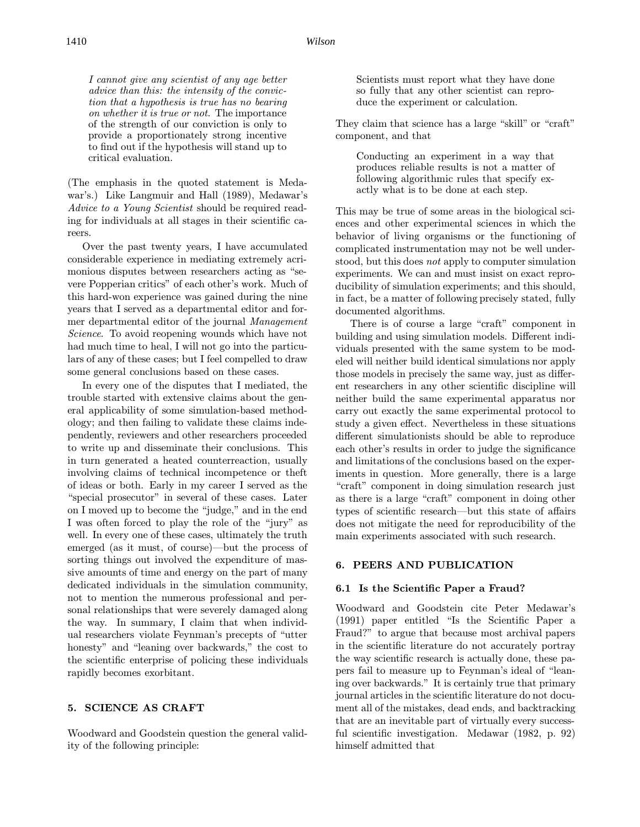I cannot give any scientist of any age better advice than this: the intensity of the conviction that a hypothesis is true has no bearing on whether it is true or not. The importance of the strength of our conviction is only to provide a proportionately strong incentive to find out if the hypothesis will stand up to critical evaluation.

(The emphasis in the quoted statement is Medawar's.) Like Langmuir and Hall (1989), Medawar's Advice to a Young Scientist should be required reading for individuals at all stages in their scientific careers.

Over the past twenty years, I have accumulated considerable experience in mediating extremely acrimonious disputes between researchers acting as "severe Popperian critics" of each other's work. Much of this hard-won experience was gained during the nine years that I served as a departmental editor and former departmental editor of the journal Management Science. To avoid reopening wounds which have not had much time to heal, I will not go into the particulars of any of these cases; but I feel compelled to draw some general conclusions based on these cases.

In every one of the disputes that I mediated, the trouble started with extensive claims about the general applicability of some simulation-based methodology; and then failing to validate these claims independently, reviewers and other researchers proceeded to write up and disseminate their conclusions. This in turn generated a heated counterreaction, usually involving claims of technical incompetence or theft of ideas or both. Early in my career I served as the "special prosecutor" in several of these cases. Later on I moved up to become the "judge," and in the end I was often forced to play the role of the "jury" as well. In every one of these cases, ultimately the truth emerged (as it must, of course)—but the process of sorting things out involved the expenditure of massive amounts of time and energy on the part of many dedicated individuals in the simulation community, not to mention the numerous professional and personal relationships that were severely damaged along the way. In summary, I claim that when individual researchers violate Feynman's precepts of "utter honesty" and "leaning over backwards," the cost to the scientific enterprise of policing these individuals rapidly becomes exorbitant.

#### 5. SCIENCE AS CRAFT

Woodward and Goodstein question the general validity of the following principle:

Scientists must report what they have done so fully that any other scientist can reproduce the experiment or calculation.

They claim that science has a large "skill" or "craft" component, and that

Conducting an experiment in a way that produces reliable results is not a matter of following algorithmic rules that specify exactly what is to be done at each step.

This may be true of some areas in the biological sciences and other experimental sciences in which the behavior of living organisms or the functioning of complicated instrumentation may not be well understood, but this does not apply to computer simulation experiments. We can and must insist on exact reproducibility of simulation experiments; and this should, in fact, be a matter of following precisely stated, fully documented algorithms.

There is of course a large "craft" component in building and using simulation models. Different individuals presented with the same system to be modeled will neither build identical simulations nor apply those models in precisely the same way, just as different researchers in any other scientific discipline will neither build the same experimental apparatus nor carry out exactly the same experimental protocol to study a given effect. Nevertheless in these situations different simulationists should be able to reproduce each other's results in order to judge the significance and limitations of the conclusions based on the experiments in question. More generally, there is a large "craft" component in doing simulation research just as there is a large "craft" component in doing other types of scientific research—but this state of affairs does not mitigate the need for reproducibility of the main experiments associated with such research.

## 6. PEERS AND PUBLICATION

#### 6.1 Is the Scientific Paper a Fraud?

Woodward and Goodstein cite Peter Medawar's (1991) paper entitled "Is the Scientific Paper a Fraud?" to argue that because most archival papers in the scientific literature do not accurately portray the way scientific research is actually done, these papers fail to measure up to Feynman's ideal of "leaning over backwards." It is certainly true that primary journal articles in the scientific literature do not document all of the mistakes, dead ends, and backtracking that are an inevitable part of virtually every successful scientific investigation. Medawar (1982, p. 92) himself admitted that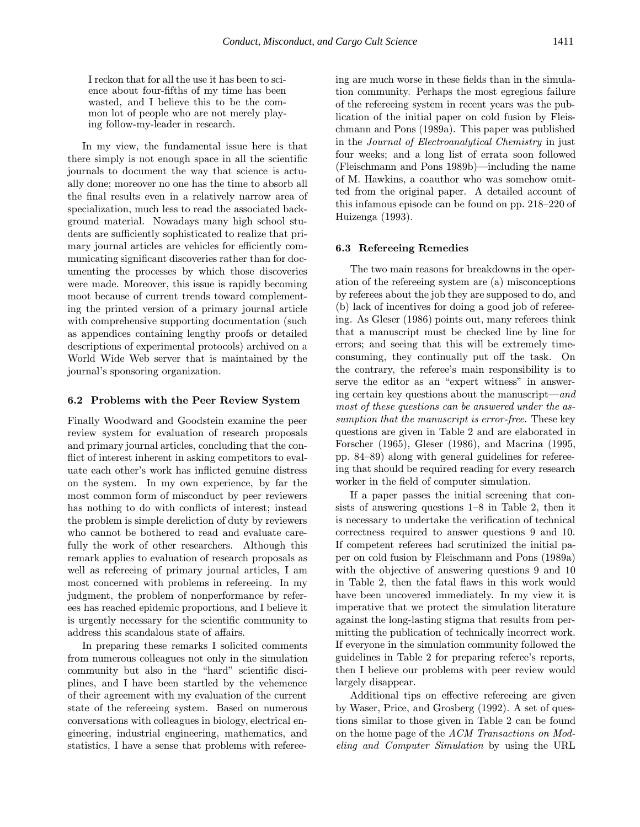I reckon that for all the use it has been to science about four-fifths of my time has been wasted, and I believe this to be the common lot of people who are not merely playing follow-my-leader in research.

In my view, the fundamental issue here is that there simply is not enough space in all the scientific journals to document the way that science is actually done; moreover no one has the time to absorb all the final results even in a relatively narrow area of specialization, much less to read the associated background material. Nowadays many high school students are sufficiently sophisticated to realize that primary journal articles are vehicles for efficiently communicating significant discoveries rather than for documenting the processes by which those discoveries were made. Moreover, this issue is rapidly becoming moot because of current trends toward complementing the printed version of a primary journal article with comprehensive supporting documentation (such as appendices containing lengthy proofs or detailed descriptions of experimental protocols) archived on a World Wide Web server that is maintained by the journal's sponsoring organization.

#### 6.2 Problems with the Peer Review System

Finally Woodward and Goodstein examine the peer review system for evaluation of research proposals and primary journal articles, concluding that the conflict of interest inherent in asking competitors to evaluate each other's work has inflicted genuine distress on the system. In my own experience, by far the most common form of misconduct by peer reviewers has nothing to do with conflicts of interest; instead the problem is simple dereliction of duty by reviewers who cannot be bothered to read and evaluate carefully the work of other researchers. Although this remark applies to evaluation of research proposals as well as refereeing of primary journal articles, I am most concerned with problems in refereeing. In my judgment, the problem of nonperformance by referees has reached epidemic proportions, and I believe it is urgently necessary for the scientific community to address this scandalous state of affairs.

In preparing these remarks I solicited comments from numerous colleagues not only in the simulation community but also in the "hard" scientific disciplines, and I have been startled by the vehemence of their agreement with my evaluation of the current state of the refereeing system. Based on numerous conversations with colleagues in biology, electrical engineering, industrial engineering, mathematics, and statistics, I have a sense that problems with refereeing are much worse in these fields than in the simulation community. Perhaps the most egregious failure of the refereeing system in recent years was the publication of the initial paper on cold fusion by Fleischmann and Pons (1989a). This paper was published in the Journal of Electroanalytical Chemistry in just four weeks; and a long list of errata soon followed (Fleischmann and Pons 1989b)—including the name of M. Hawkins, a coauthor who was somehow omitted from the original paper. A detailed account of this infamous episode can be found on pp. 218–220 of Huizenga (1993).

#### 6.3 Refereeing Remedies

The two main reasons for breakdowns in the operation of the refereeing system are (a) misconceptions by referees about the job they are supposed to do, and (b) lack of incentives for doing a good job of refereeing. As Gleser (1986) points out, many referees think that a manuscript must be checked line by line for errors; and seeing that this will be extremely timeconsuming, they continually put off the task. On the contrary, the referee's main responsibility is to serve the editor as an "expert witness" in answering certain key questions about the manuscript—and most of these questions can be answered under the assumption that the manuscript is error-free. These key questions are given in Table 2 and are elaborated in Forscher (1965), Gleser (1986), and Macrina (1995, pp. 84–89) along with general guidelines for refereeing that should be required reading for every research worker in the field of computer simulation.

If a paper passes the initial screening that consists of answering questions 1–8 in Table 2, then it is necessary to undertake the verification of technical correctness required to answer questions 9 and 10. If competent referees had scrutinized the initial paper on cold fusion by Fleischmann and Pons (1989a) with the objective of answering questions 9 and 10 in Table 2, then the fatal flaws in this work would have been uncovered immediately. In my view it is imperative that we protect the simulation literature against the long-lasting stigma that results from permitting the publication of technically incorrect work. If everyone in the simulation community followed the guidelines in Table 2 for preparing referee's reports, then I believe our problems with peer review would largely disappear.

Additional tips on effective refereeing are given by Waser, Price, and Grosberg (1992). A set of questions similar to those given in Table 2 can be found on the home page of the ACM Transactions on Modeling and Computer Simulation by using the URL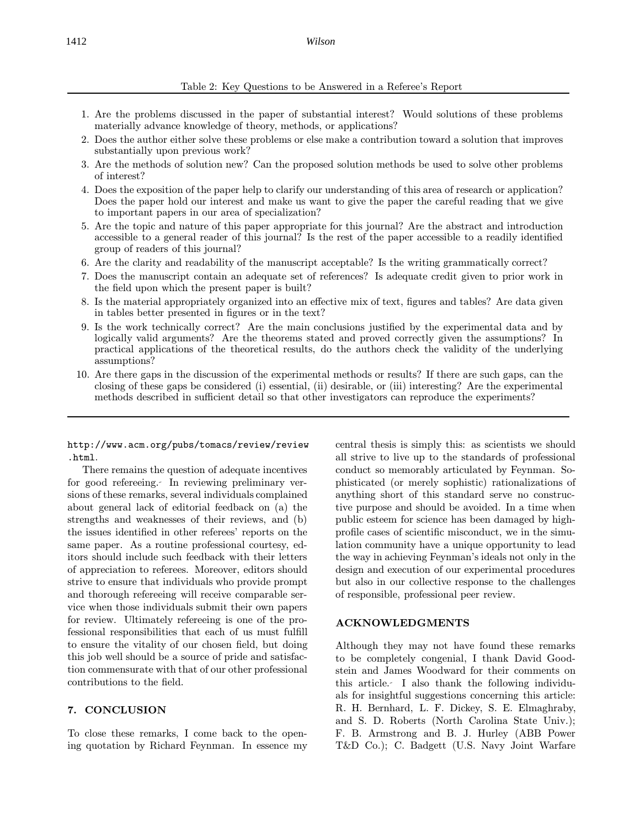- 1. Are the problems discussed in the paper of substantial interest? Would solutions of these problems materially advance knowledge of theory, methods, or applications?
- 2. Does the author either solve these problems or else make a contribution toward a solution that improves substantially upon previous work?
- 3. Are the methods of solution new? Can the proposed solution methods be used to solve other problems of interest?
- 4. Does the exposition of the paper help to clarify our understanding of this area of research or application? Does the paper hold our interest and make us want to give the paper the careful reading that we give to important papers in our area of specialization?
- 5. Are the topic and nature of this paper appropriate for this journal? Are the abstract and introduction accessible to a general reader of this journal? Is the rest of the paper accessible to a readily identified group of readers of this journal?
- 6. Are the clarity and readability of the manuscript acceptable? Is the writing grammatically correct?
- 7. Does the manuscript contain an adequate set of references? Is adequate credit given to prior work in the field upon which the present paper is built?
- 8. Is the material appropriately organized into an effective mix of text, figures and tables? Are data given in tables better presented in figures or in the text?
- 9. Is the work technically correct? Are the main conclusions justified by the experimental data and by logically valid arguments? Are the theorems stated and proved correctly given the assumptions? In practical applications of the theoretical results, do the authors check the validity of the underlying assumptions?
- 10. Are there gaps in the discussion of the experimental methods or results? If there are such gaps, can the closing of these gaps be considered (i) essential, (ii) desirable, or (iii) interesting? Are the experimental methods described in sufficient detail so that other investigators can reproduce the experiments?

#### http://www.acm.org/pubs/tomacs/review/review .html.

There remains the question of adequate incentives for good refereeing. In reviewing preliminary versions of these remarks, several individuals complained about general lack of editorial feedback on (a) the strengths and weaknesses of their reviews, and (b) the issues identified in other referees' reports on the same paper. As a routine professional courtesy, editors should include such feedback with their letters of appreciation to referees. Moreover, editors should strive to ensure that individuals who provide prompt and thorough refereeing will receive comparable service when those individuals submit their own papers for review. Ultimately refereeing is one of the professional responsibilities that each of us must fulfill to ensure the vitality of our chosen field, but doing this job well should be a source of pride and satisfaction commensurate with that of our other professional contributions to the field.

## 7. CONCLUSION

To close these remarks, I come back to the opening quotation by Richard Feynman. In essence my central thesis is simply this: as scientists we should all strive to live up to the standards of professional conduct so memorably articulated by Feynman. Sophisticated (or merely sophistic) rationalizations of anything short of this standard serve no constructive purpose and should be avoided. In a time when public esteem for science has been damaged by highprofile cases of scientific misconduct, we in the simulation community have a unique opportunity to lead the way in achieving Feynman's ideals not only in the design and execution of our experimental procedures but also in our collective response to the challenges of responsible, professional peer review.

### ACKNOWLEDGMENTS

Although they may not have found these remarks to be completely congenial, I thank David Goodstein and James Woodward for their comments on this article. I also thank the following individuals for insightful suggestions concerning this article: R. H. Bernhard, L. F. Dickey, S. E. Elmaghraby, and S. D. Roberts (North Carolina State Univ.); F. B. Armstrong and B. J. Hurley (ABB Power T&D Co.); C. Badgett (U.S. Navy Joint Warfare